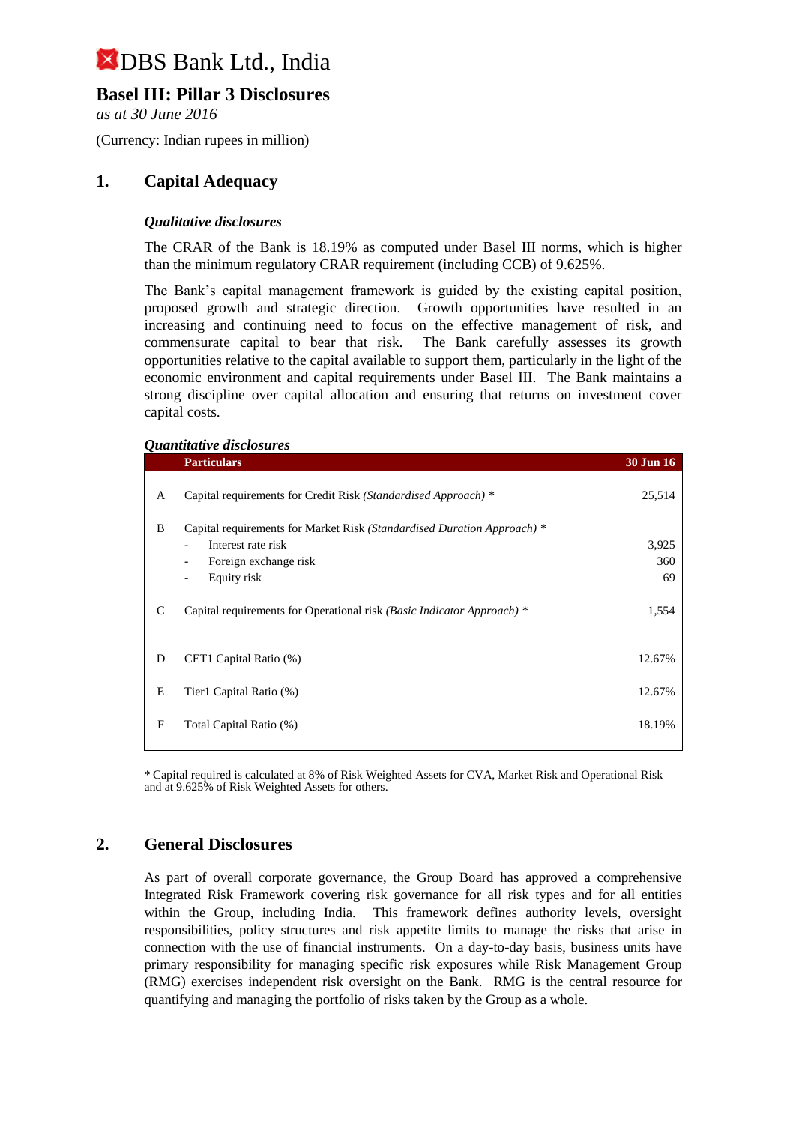### **Basel III: Pillar 3 Disclosures**

*as at 30 June 2016*

(Currency: Indian rupees in million)

#### **1. Capital Adequacy**

#### *Qualitative disclosures*

The CRAR of the Bank is 18.19% as computed under Basel III norms, which is higher than the minimum regulatory CRAR requirement (including CCB) of 9.625%.

The Bank's capital management framework is guided by the existing capital position, proposed growth and strategic direction. Growth opportunities have resulted in an increasing and continuing need to focus on the effective management of risk, and commensurate capital to bear that risk. The Bank carefully assesses its growth opportunities relative to the capital available to support them, particularly in the light of the economic environment and capital requirements under Basel III. The Bank maintains a strong discipline over capital allocation and ensuring that returns on investment cover capital costs.

#### *Quantitative disclosures*

|   | <b>Particulars</b>                                                      | <b>30 Jun 16</b> |
|---|-------------------------------------------------------------------------|------------------|
| A | Capital requirements for Credit Risk (Standardised Approach) *          | 25,514           |
| B | Capital requirements for Market Risk (Standardised Duration Approach) * |                  |
|   | Interest rate risk                                                      | 3,925            |
|   | Foreign exchange risk<br>$\overline{\phantom{a}}$                       | 360              |
|   | Equity risk<br>$\overline{\phantom{m}}$                                 | 69               |
| C | Capital requirements for Operational risk (Basic Indicator Approach) *  | 1,554            |
| D | CET1 Capital Ratio (%)                                                  | 12.67%           |
| Е | Tier1 Capital Ratio (%)                                                 | 12.67%           |
| F | Total Capital Ratio (%)                                                 | 18.19%           |

\* Capital required is calculated at 8% of Risk Weighted Assets for CVA, Market Risk and Operational Risk and at 9.625% of Risk Weighted Assets for others.

#### **2. General Disclosures**

As part of overall corporate governance, the Group Board has approved a comprehensive Integrated Risk Framework covering risk governance for all risk types and for all entities within the Group, including India. This framework defines authority levels, oversight responsibilities, policy structures and risk appetite limits to manage the risks that arise in connection with the use of financial instruments. On a day-to-day basis, business units have primary responsibility for managing specific risk exposures while Risk Management Group (RMG) exercises independent risk oversight on the Bank. RMG is the central resource for quantifying and managing the portfolio of risks taken by the Group as a whole.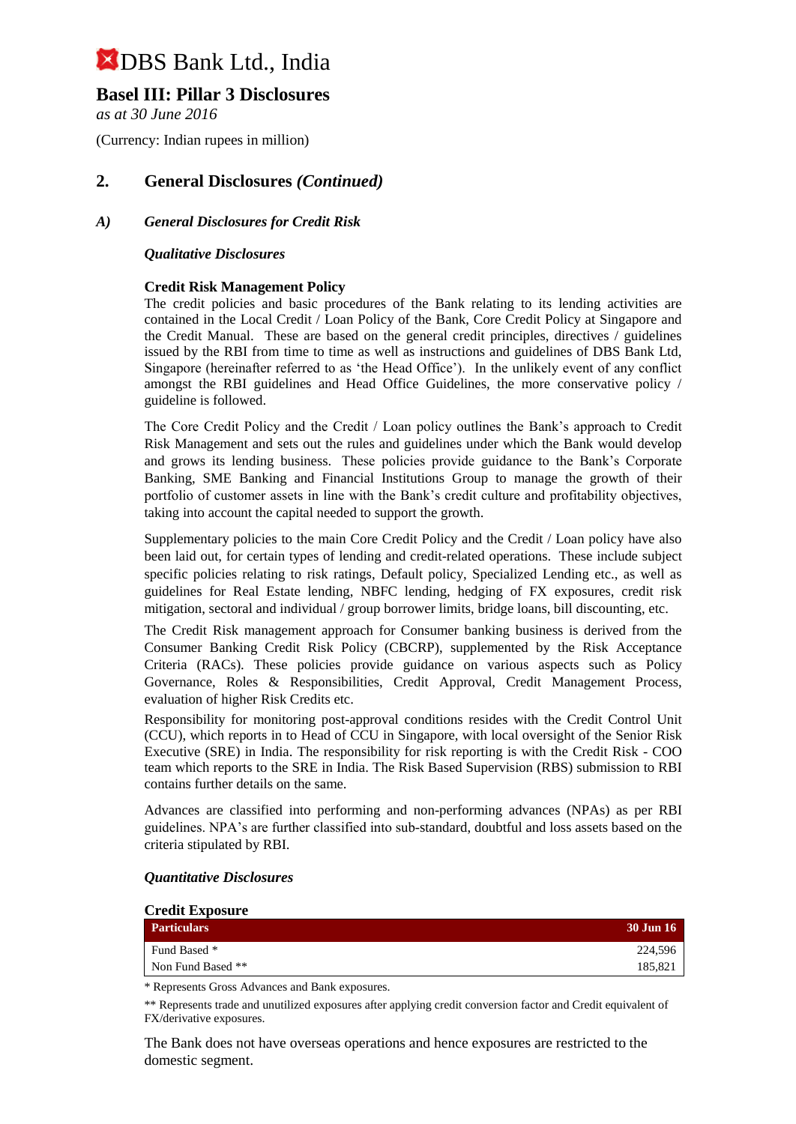### **Basel III: Pillar 3 Disclosures**

*as at 30 June 2016*

(Currency: Indian rupees in million)

### **2. General Disclosures** *(Continued)*

#### *A) General Disclosures for Credit Risk*

#### *Qualitative Disclosures*

#### **Credit Risk Management Policy**

The credit policies and basic procedures of the Bank relating to its lending activities are contained in the Local Credit / Loan Policy of the Bank, Core Credit Policy at Singapore and the Credit Manual. These are based on the general credit principles, directives / guidelines issued by the RBI from time to time as well as instructions and guidelines of DBS Bank Ltd, Singapore (hereinafter referred to as 'the Head Office'). In the unlikely event of any conflict amongst the RBI guidelines and Head Office Guidelines, the more conservative policy / guideline is followed.

The Core Credit Policy and the Credit / Loan policy outlines the Bank's approach to Credit Risk Management and sets out the rules and guidelines under which the Bank would develop and grows its lending business. These policies provide guidance to the Bank's Corporate Banking, SME Banking and Financial Institutions Group to manage the growth of their portfolio of customer assets in line with the Bank's credit culture and profitability objectives, taking into account the capital needed to support the growth.

Supplementary policies to the main Core Credit Policy and the Credit / Loan policy have also been laid out, for certain types of lending and credit-related operations. These include subject specific policies relating to risk ratings, Default policy, Specialized Lending etc., as well as guidelines for Real Estate lending, NBFC lending, hedging of FX exposures, credit risk mitigation, sectoral and individual / group borrower limits, bridge loans, bill discounting, etc.

The Credit Risk management approach for Consumer banking business is derived from the Consumer Banking Credit Risk Policy (CBCRP), supplemented by the Risk Acceptance Criteria (RACs). These policies provide guidance on various aspects such as Policy Governance, Roles & Responsibilities, Credit Approval, Credit Management Process, evaluation of higher Risk Credits etc.

Responsibility for monitoring post-approval conditions resides with the Credit Control Unit (CCU), which reports in to Head of CCU in Singapore, with local oversight of the Senior Risk Executive (SRE) in India. The responsibility for risk reporting is with the Credit Risk - COO team which reports to the SRE in India. The Risk Based Supervision (RBS) submission to RBI contains further details on the same.

Advances are classified into performing and non-performing advances (NPAs) as per RBI guidelines. NPA's are further classified into sub-standard, doubtful and loss assets based on the criteria stipulated by RBI.

| <b>Credit Exposure</b> |                  |
|------------------------|------------------|
| <b>Particulars</b>     | <b>30 Jun 16</b> |
| Fund Based *           | 224.596          |
| Non Fund Based **      | 185.821          |

#### *Quantitative Disclosures*

\* Represents Gross Advances and Bank exposures.

\*\* Represents trade and unutilized exposures after applying credit conversion factor and Credit equivalent of FX/derivative exposures.

The Bank does not have overseas operations and hence exposures are restricted to the domestic segment.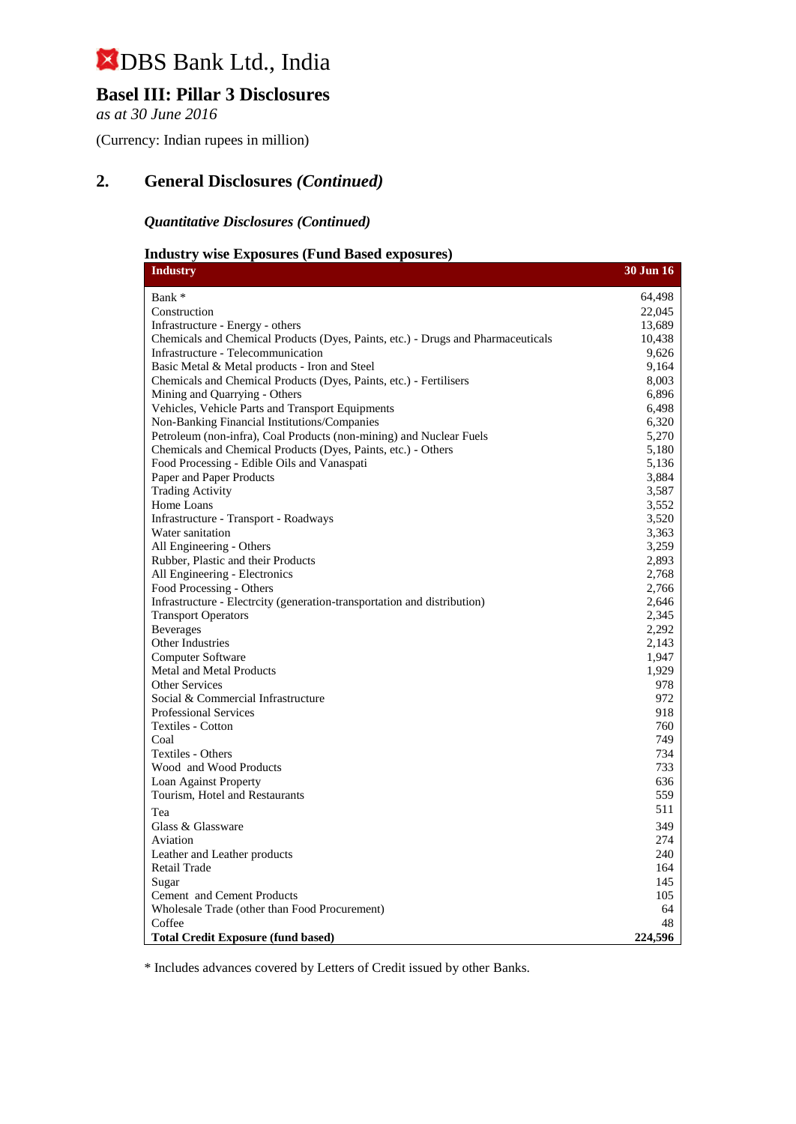### **Basel III: Pillar 3 Disclosures**

*as at 30 June 2016*

(Currency: Indian rupees in million)

### **2. General Disclosures** *(Continued)*

#### *Quantitative Disclosures (Continued)*

### **Industry wise Exposures (Fund Based exposures)**

| <b>Industry</b>                                                                  | <b>30 Jun 16</b> |
|----------------------------------------------------------------------------------|------------------|
| Bank *                                                                           | 64,498           |
| Construction                                                                     | 22,045           |
| Infrastructure - Energy - others                                                 | 13,689           |
| Chemicals and Chemical Products (Dyes, Paints, etc.) - Drugs and Pharmaceuticals | 10,438           |
| Infrastructure - Telecommunication                                               | 9,626            |
| Basic Metal & Metal products - Iron and Steel                                    | 9,164            |
| Chemicals and Chemical Products (Dyes, Paints, etc.) - Fertilisers               | 8,003            |
| Mining and Quarrying - Others                                                    | 6,896            |
| Vehicles, Vehicle Parts and Transport Equipments                                 | 6,498            |
| Non-Banking Financial Institutions/Companies                                     | 6,320            |
| Petroleum (non-infra), Coal Products (non-mining) and Nuclear Fuels              | 5,270            |
| Chemicals and Chemical Products (Dyes, Paints, etc.) - Others                    | 5,180            |
| Food Processing - Edible Oils and Vanaspati                                      | 5,136            |
| Paper and Paper Products                                                         | 3,884            |
| <b>Trading Activity</b>                                                          | 3,587            |
| Home Loans                                                                       | 3,552            |
| Infrastructure - Transport - Roadways                                            | 3,520            |
| Water sanitation                                                                 | 3,363            |
| All Engineering - Others                                                         | 3,259            |
| Rubber, Plastic and their Products                                               | 2,893            |
| All Engineering - Electronics                                                    | 2,768            |
| Food Processing - Others                                                         | 2,766            |
| Infrastructure - Electrcity (generation-transportation and distribution)         | 2,646            |
| <b>Transport Operators</b>                                                       | 2,345            |
| <b>Beverages</b>                                                                 | 2,292            |
| Other Industries                                                                 | 2.143            |
| Computer Software                                                                | 1,947<br>1,929   |
| <b>Metal and Metal Products</b><br>Other Services                                | 978              |
| Social & Commercial Infrastructure                                               | 972              |
| Professional Services                                                            | 918              |
| Textiles - Cotton                                                                | 760              |
| Coal                                                                             | 749              |
| Textiles - Others                                                                | 734              |
| Wood and Wood Products                                                           | 733              |
| Loan Against Property                                                            | 636              |
| Tourism, Hotel and Restaurants                                                   | 559              |
| Tea                                                                              | 511              |
| Glass & Glassware                                                                | 349              |
| Aviation                                                                         | 274              |
| Leather and Leather products                                                     | 240              |
| Retail Trade                                                                     | 164              |
| Sugar                                                                            | 145              |
| Cement and Cement Products                                                       | 105              |
| Wholesale Trade (other than Food Procurement)                                    | 64               |
| Coffee                                                                           | 48               |
| <b>Total Credit Exposure (fund based)</b>                                        | 224,596          |

\* Includes advances covered by Letters of Credit issued by other Banks.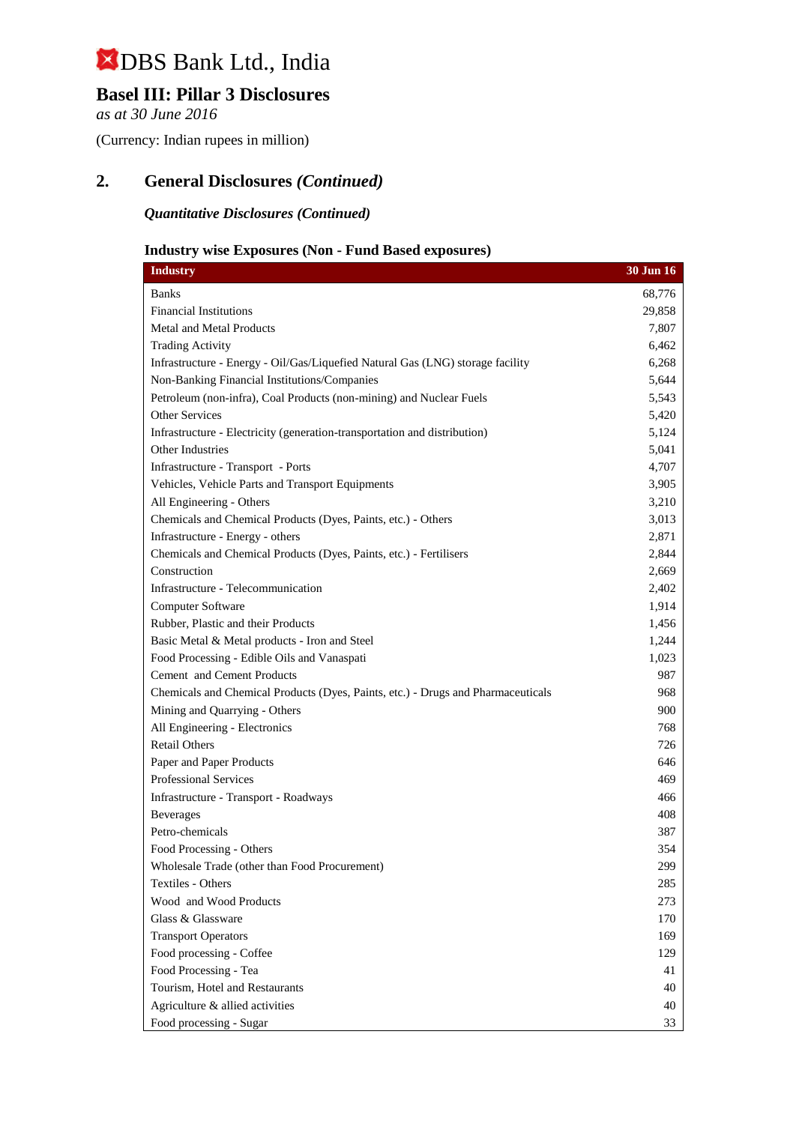### **Basel III: Pillar 3 Disclosures**

*as at 30 June 2016*

(Currency: Indian rupees in million)

### **2. General Disclosures** *(Continued)*

*Quantitative Disclosures (Continued)*

### **Industry wise Exposures (Non - Fund Based exposures)**

| <b>Industry</b>                                                                  | 30 Jun 16 |
|----------------------------------------------------------------------------------|-----------|
| <b>Banks</b>                                                                     | 68,776    |
| <b>Financial Institutions</b>                                                    | 29,858    |
| <b>Metal and Metal Products</b>                                                  | 7,807     |
| <b>Trading Activity</b>                                                          | 6,462     |
| Infrastructure - Energy - Oil/Gas/Liquefied Natural Gas (LNG) storage facility   | 6,268     |
| Non-Banking Financial Institutions/Companies                                     | 5,644     |
| Petroleum (non-infra), Coal Products (non-mining) and Nuclear Fuels              | 5,543     |
| Other Services                                                                   | 5,420     |
| Infrastructure - Electricity (generation-transportation and distribution)        | 5,124     |
| Other Industries                                                                 | 5,041     |
| Infrastructure - Transport - Ports                                               | 4,707     |
| Vehicles, Vehicle Parts and Transport Equipments                                 | 3,905     |
| All Engineering - Others                                                         | 3,210     |
| Chemicals and Chemical Products (Dyes, Paints, etc.) - Others                    | 3,013     |
| Infrastructure - Energy - others                                                 | 2,871     |
| Chemicals and Chemical Products (Dyes, Paints, etc.) - Fertilisers               | 2,844     |
| Construction                                                                     | 2,669     |
| Infrastructure - Telecommunication                                               | 2,402     |
| Computer Software                                                                | 1,914     |
| Rubber, Plastic and their Products                                               | 1,456     |
| Basic Metal & Metal products - Iron and Steel                                    | 1,244     |
| Food Processing - Edible Oils and Vanaspati                                      | 1,023     |
| <b>Cement</b> and Cement Products                                                | 987       |
| Chemicals and Chemical Products (Dyes, Paints, etc.) - Drugs and Pharmaceuticals | 968       |
| Mining and Quarrying - Others                                                    | 900       |
| All Engineering - Electronics                                                    | 768       |
| <b>Retail Others</b>                                                             | 726       |
| Paper and Paper Products                                                         | 646       |
| Professional Services                                                            | 469       |
| Infrastructure - Transport - Roadways                                            | 466       |
| <b>Beverages</b>                                                                 | 408       |
| Petro-chemicals                                                                  | 387       |
| Food Processing - Others                                                         | 354       |
| Wholesale Trade (other than Food Procurement)                                    | 299       |
| Textiles - Others                                                                | 285       |
| Wood and Wood Products                                                           | 273       |
| Glass & Glassware                                                                | 170       |
| <b>Transport Operators</b>                                                       | 169       |
| Food processing - Coffee                                                         | 129       |
| Food Processing - Tea                                                            | 41        |
| Tourism, Hotel and Restaurants                                                   | 40        |
| Agriculture & allied activities                                                  | 40        |
| Food processing - Sugar                                                          | 33        |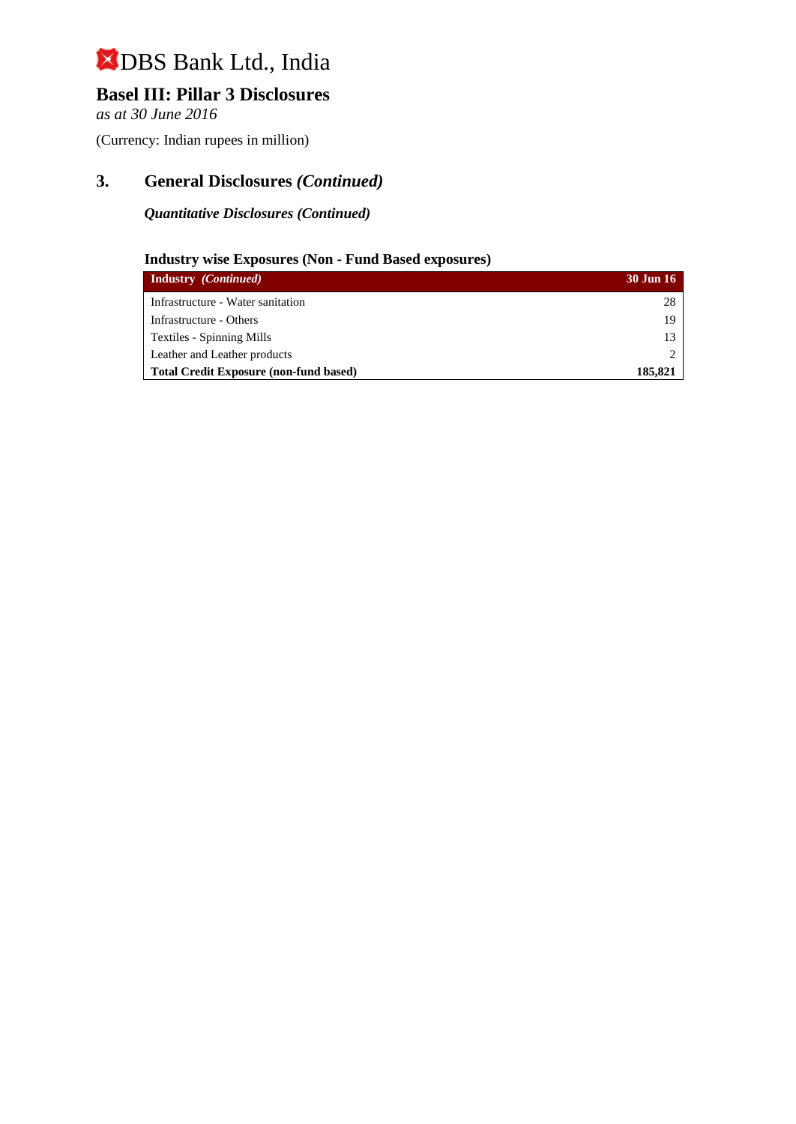### **Basel III: Pillar 3 Disclosures**

*as at 30 June 2016*

(Currency: Indian rupees in million)

### **3. General Disclosures** *(Continued)*

#### *Quantitative Disclosures (Continued)*

### **Industry wise Exposures (Non - Fund Based exposures)**

| <b>Industry</b> <i>(Continued)</i>            | <b>30 Jun 16</b> |
|-----------------------------------------------|------------------|
| Infrastructure - Water sanitation             | 28               |
| Infrastructure - Others                       | 19               |
| Textiles - Spinning Mills                     | 13               |
| Leather and Leather products                  |                  |
| <b>Total Credit Exposure (non-fund based)</b> | 185.821          |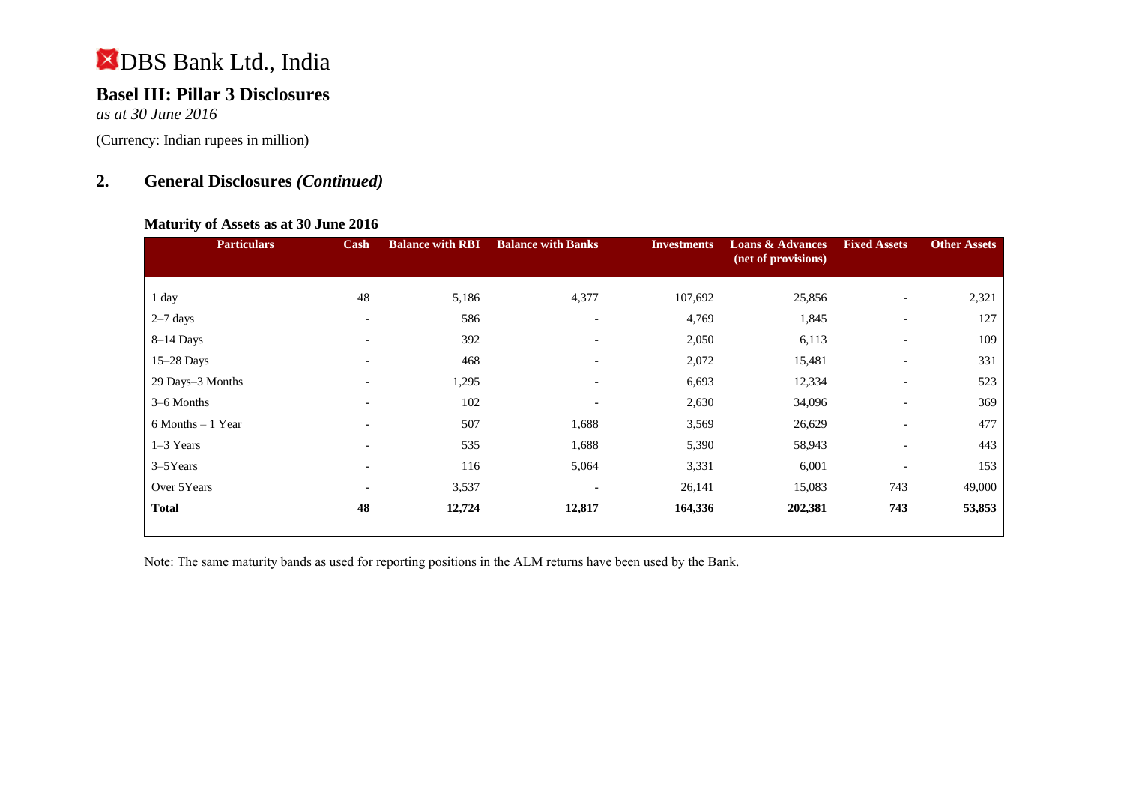### **Basel III: Pillar 3 Disclosures**

*as at 30 June 2016*

(Currency: Indian rupees in million)

### **2. General Disclosures** *(Continued)*

#### **Maturity of Assets as at 30 June 2016**

| <b>Particulars</b>   | Cash                         | <b>Balance with RBI</b> | <b>Balance with Banks</b> | <b>Investments</b> | <b>Loans &amp; Advances</b><br>(net of provisions) | <b>Fixed Assets</b>      | <b>Other Assets</b> |
|----------------------|------------------------------|-------------------------|---------------------------|--------------------|----------------------------------------------------|--------------------------|---------------------|
| 1 day                | 48                           | 5,186                   | 4,377                     | 107,692            | 25,856                                             | $\overline{\phantom{a}}$ | 2,321               |
|                      |                              |                         |                           |                    |                                                    |                          |                     |
| $2-7$ days           | $\overline{\phantom{a}}$     | 586                     | $\overline{\phantom{a}}$  | 4,769              | 1,845                                              | $\overline{\phantom{a}}$ | 127                 |
| $8-14$ Days          | $\overline{\phantom{a}}$     | 392                     | $\overline{\phantom{a}}$  | 2,050              | 6,113                                              | $\overline{\phantom{a}}$ | 109                 |
| $15-28$ Days         | $\qquad \qquad \blacksquare$ | 468                     | $\overline{\phantom{0}}$  | 2,072              | 15,481                                             | $\overline{\phantom{a}}$ | 331                 |
| 29 Days-3 Months     | $\overline{\phantom{0}}$     | 1,295                   | $\overline{\phantom{a}}$  | 6,693              | 12,334                                             | $\overline{\phantom{a}}$ | 523                 |
| 3–6 Months           | $\overline{\phantom{a}}$     | 102                     | $\overline{\phantom{0}}$  | 2,630              | 34,096                                             | $\overline{\phantom{a}}$ | 369                 |
| $6$ Months $-1$ Year | $\overline{\phantom{0}}$     | 507                     | 1,688                     | 3,569              | 26,629                                             | $\overline{\phantom{a}}$ | 477                 |
| $1-3$ Years          | $\overline{\phantom{0}}$     | 535                     | 1,688                     | 5,390              | 58,943                                             | $\overline{\phantom{a}}$ | 443                 |
| 3-5Years             | $\overline{\phantom{a}}$     | 116                     | 5,064                     | 3,331              | 6,001                                              | $\overline{\phantom{a}}$ | 153                 |
| Over 5Years          | $\overline{\phantom{a}}$     | 3,537                   | $\overline{\phantom{a}}$  | 26,141             | 15,083                                             | 743                      | 49,000              |
| <b>Total</b>         | 48                           | 12,724                  | 12,817                    | 164,336            | 202,381                                            | 743                      | 53,853              |

Note: The same maturity bands as used for reporting positions in the ALM returns have been used by the Bank.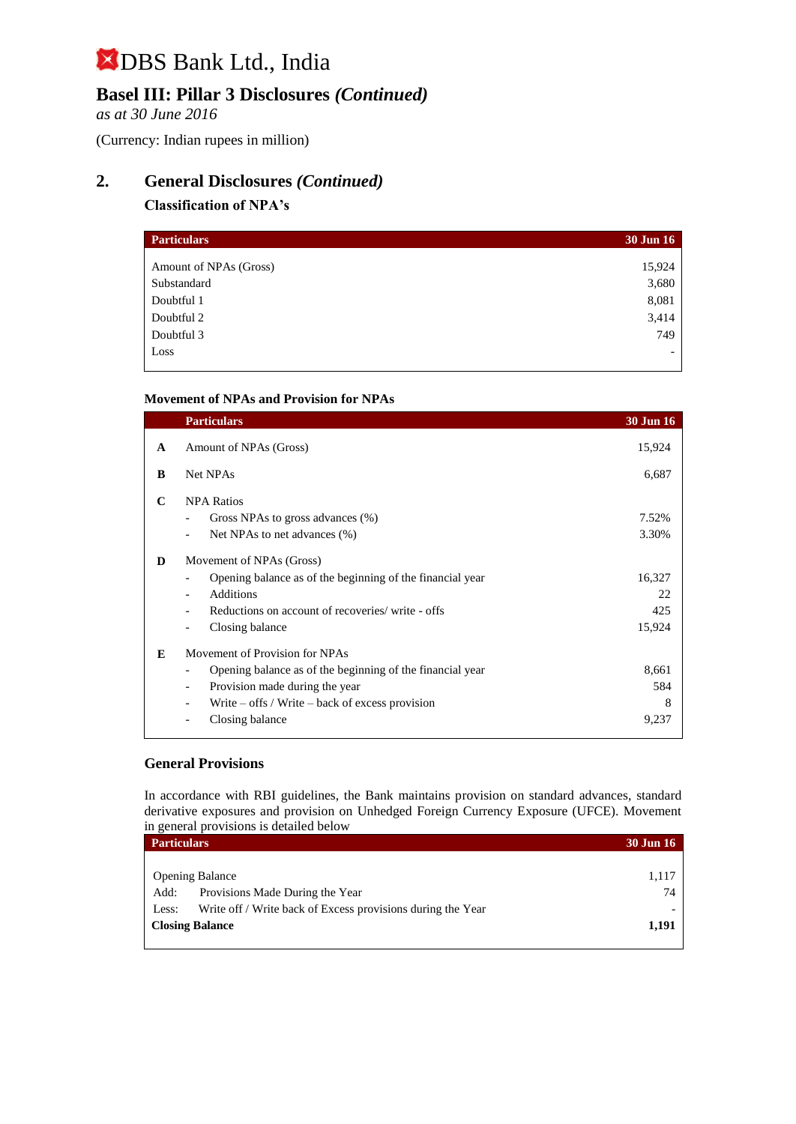### **Basel III: Pillar 3 Disclosures** *(Continued)*

*as at 30 June 2016*

(Currency: Indian rupees in million)

### **2. General Disclosures** *(Continued)*

### **Classification of NPA's**

| <b>Particulars</b>     | <b>30 Jun 16</b> |
|------------------------|------------------|
|                        |                  |
| Amount of NPAs (Gross) | 15,924           |
| Substandard            | 3,680            |
| Doubtful 1             | 8,081            |
| Doubtful 2             | 3,414            |
| Doubtful 3             | 749              |
| Loss                   |                  |

#### **Movement of NPAs and Provision for NPAs**

|              | <b>Particulars</b>                                         | <b>30 Jun 16</b> |
|--------------|------------------------------------------------------------|------------------|
| $\mathbf{A}$ | Amount of NPAs (Gross)                                     | 15,924           |
| B            | Net NPAs                                                   | 6,687            |
| C            | <b>NPA Ratios</b>                                          |                  |
|              | Gross NPAs to gross advances (%)                           | 7.52%            |
|              | Net NPAs to net advances (%)                               | 3.30%            |
| D            | Movement of NPAs (Gross)                                   |                  |
|              | Opening balance as of the beginning of the financial year  | 16,327           |
|              | <b>Additions</b><br>$\overline{\phantom{0}}$               | 22               |
|              | Reductions on account of recoveries/write - offs           | 425              |
|              | Closing balance                                            | 15,924           |
| E            | Movement of Provision for NPAs                             |                  |
|              | Opening balance as of the beginning of the financial year  | 8,661            |
|              | Provision made during the year<br>$\overline{\phantom{a}}$ | 584              |
|              | Write $-$ offs / Write $-$ back of excess provision        | 8                |
|              | Closing balance                                            | 9,237            |
|              |                                                            |                  |

#### **General Provisions**

In accordance with RBI guidelines, the Bank maintains provision on standard advances, standard derivative exposures and provision on Unhedged Foreign Currency Exposure (UFCE). Movement in general provisions is detailed below

| <b>Particulars</b> |                                                             | <b>30 Jun 16</b> |
|--------------------|-------------------------------------------------------------|------------------|
|                    |                                                             |                  |
|                    | <b>Opening Balance</b>                                      | 1,117            |
| Add:               | Provisions Made During the Year                             | 74               |
| Less:              | Write off / Write back of Excess provisions during the Year |                  |
|                    | <b>Closing Balance</b>                                      | 1,191            |
|                    |                                                             |                  |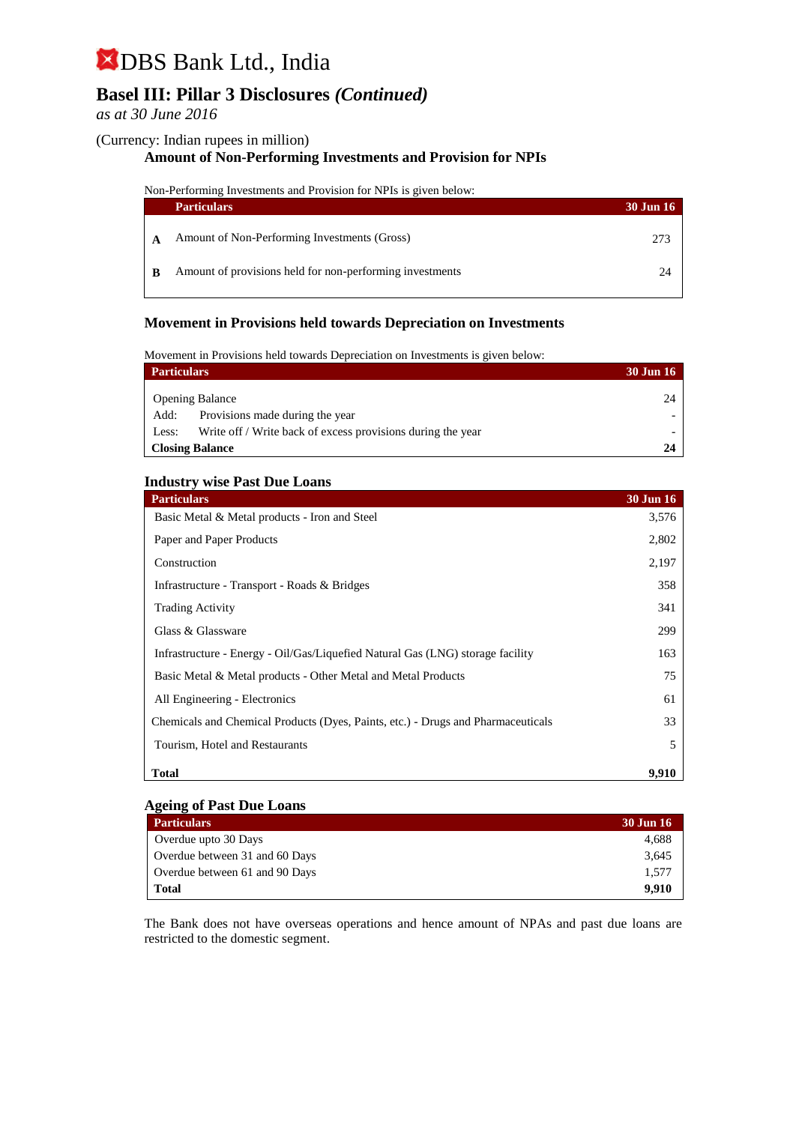### **Basel III: Pillar 3 Disclosures** *(Continued)*

#### *as at 30 June 2016*

#### (Currency: Indian rupees in million)

#### **Amount of Non-Performing Investments and Provision for NPIs**

Non-Performing Investments and Provision for NPIs is given below:

| <b>Particulars</b>                                       | <b>30 Jun 16</b> |
|----------------------------------------------------------|------------------|
| Amount of Non-Performing Investments (Gross)             | 273              |
| Amount of provisions held for non-performing investments | ')4              |

#### **Movement in Provisions held towards Depreciation on Investments**

Movement in Provisions held towards Depreciation on Investments is given below:

| <b>Particulars</b> |                                                             | 30 Jun 16 |
|--------------------|-------------------------------------------------------------|-----------|
|                    | <b>Opening Balance</b>                                      | 24        |
| Add:               | Provisions made during the year                             |           |
| Less:              | Write off / Write back of excess provisions during the year |           |
|                    | <b>Closing Balance</b>                                      |           |

#### **Industry wise Past Due Loans**

| <b>Particulars</b>                                                               | 30 Jun 16 |
|----------------------------------------------------------------------------------|-----------|
| Basic Metal & Metal products - Iron and Steel                                    | 3,576     |
| Paper and Paper Products                                                         | 2,802     |
| Construction                                                                     | 2,197     |
| Infrastructure - Transport - Roads & Bridges                                     | 358       |
| <b>Trading Activity</b>                                                          | 341       |
| Glass & Glassware                                                                | 299       |
| Infrastructure - Energy - Oil/Gas/Liquefied Natural Gas (LNG) storage facility   | 163       |
| Basic Metal & Metal products - Other Metal and Metal Products                    | 75        |
| All Engineering - Electronics                                                    | 61        |
| Chemicals and Chemical Products (Dyes, Paints, etc.) - Drugs and Pharmaceuticals | 33        |
| Tourism, Hotel and Restaurants                                                   | 5         |
| <b>Total</b>                                                                     | 9,910     |

#### **Ageing of Past Due Loans**

| <b>Particulars</b>             | 30 Jun 16 |
|--------------------------------|-----------|
| Overdue upto 30 Days           | 4.688     |
| Overdue between 31 and 60 Days | 3.645     |
| Overdue between 61 and 90 Days | 1.577     |
| <b>Total</b>                   | 9.910     |

The Bank does not have overseas operations and hence amount of NPAs and past due loans are restricted to the domestic segment.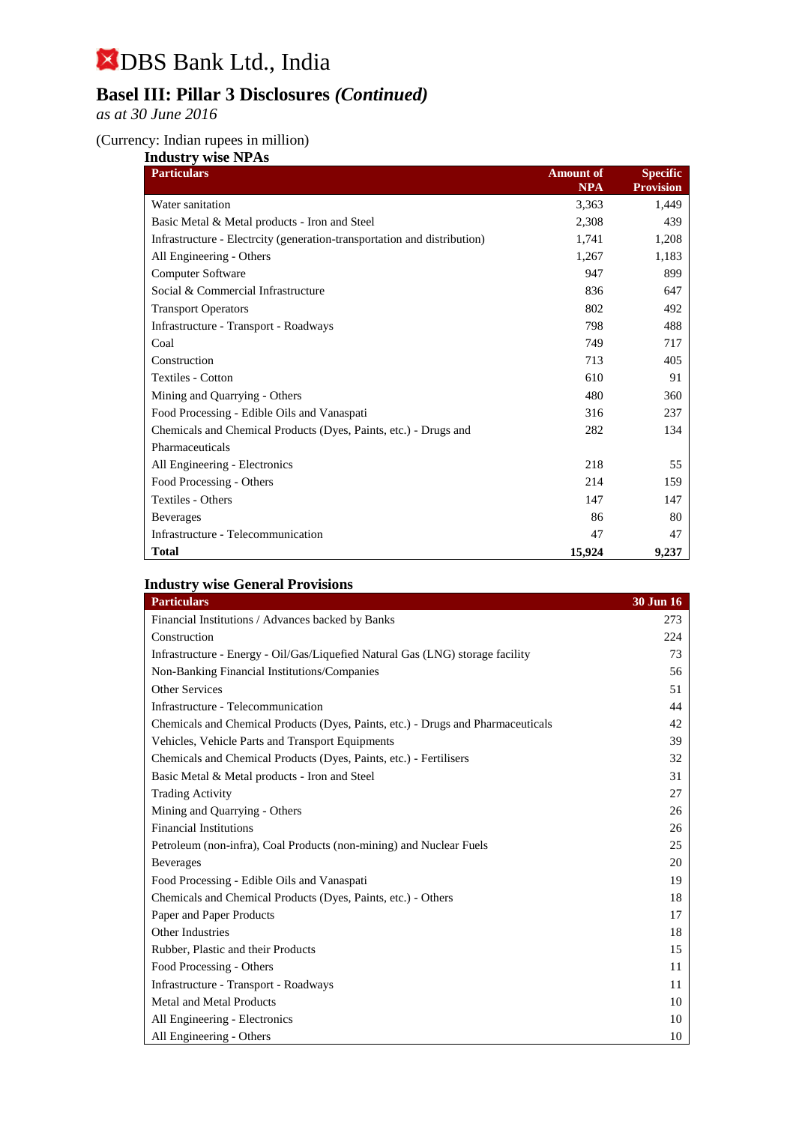### **Basel III: Pillar 3 Disclosures** *(Continued)*

*as at 30 June 2016*

#### (Currency: Indian rupees in million)

| <b>Industry wise NPAs</b>                                               |                  |                  |  |
|-------------------------------------------------------------------------|------------------|------------------|--|
| <b>Particulars</b>                                                      | <b>Amount of</b> | <b>Specific</b>  |  |
|                                                                         | <b>NPA</b>       | <b>Provision</b> |  |
| Water sanitation                                                        | 3,363            | 1,449            |  |
| Basic Metal & Metal products - Iron and Steel                           | 2,308            | 439              |  |
| Infrastructure - Electrity (generation-transportation and distribution) | 1.741            | 1,208            |  |
| All Engineering - Others                                                | 1,267            | 1,183            |  |
| Computer Software                                                       | 947              | 899              |  |
| Social & Commercial Infrastructure                                      | 836              | 647              |  |
| <b>Transport Operators</b>                                              | 802              | 492              |  |
| Infrastructure - Transport - Roadways                                   | 798              | 488              |  |
| Coal                                                                    | 749              | 717              |  |
| Construction                                                            | 713              | 405              |  |
| <b>Textiles - Cotton</b>                                                | 610              | 91               |  |
| Mining and Quarrying - Others                                           | 480              | 360              |  |
| Food Processing - Edible Oils and Vanaspati                             | 316              | 237              |  |
| Chemicals and Chemical Products (Dyes, Paints, etc.) - Drugs and        | 282              | 134              |  |
| Pharmaceuticals                                                         |                  |                  |  |
| All Engineering - Electronics                                           | 218              | 55               |  |
| Food Processing - Others                                                | 214              | 159              |  |
| Textiles - Others                                                       | 147              | 147              |  |
| <b>Beverages</b>                                                        | 86               | 80               |  |
| Infrastructure - Telecommunication                                      | 47               | 47               |  |
| <b>Total</b>                                                            | 15,924           | 9,237            |  |

### **Industry wise General Provisions**

| <b>Particulars</b>                                                               | 30 Jun 16 |
|----------------------------------------------------------------------------------|-----------|
| Financial Institutions / Advances backed by Banks                                | 273       |
| Construction                                                                     | 224       |
| Infrastructure - Energy - Oil/Gas/Liquefied Natural Gas (LNG) storage facility   | 73        |
| Non-Banking Financial Institutions/Companies                                     | 56        |
| <b>Other Services</b>                                                            | 51        |
| Infrastructure - Telecommunication                                               | 44        |
| Chemicals and Chemical Products (Dyes, Paints, etc.) - Drugs and Pharmaceuticals | 42        |
| Vehicles, Vehicle Parts and Transport Equipments                                 | 39        |
| Chemicals and Chemical Products (Dyes, Paints, etc.) - Fertilisers               | 32        |
| Basic Metal & Metal products - Iron and Steel                                    | 31        |
| <b>Trading Activity</b>                                                          | 27        |
| Mining and Quarrying - Others                                                    | 26        |
| <b>Financial Institutions</b>                                                    | 26        |
| Petroleum (non-infra), Coal Products (non-mining) and Nuclear Fuels              | 25        |
| <b>Beverages</b>                                                                 | 20        |
| Food Processing - Edible Oils and Vanaspati                                      | 19        |
| Chemicals and Chemical Products (Dyes, Paints, etc.) - Others                    | 18        |
| Paper and Paper Products                                                         | 17        |
| Other Industries                                                                 | 18        |
| Rubber, Plastic and their Products                                               | 15        |
| Food Processing - Others                                                         | 11        |
| Infrastructure - Transport - Roadways                                            | 11        |
| Metal and Metal Products                                                         | 10        |
| All Engineering - Electronics                                                    | 10        |
| All Engineering - Others                                                         | 10        |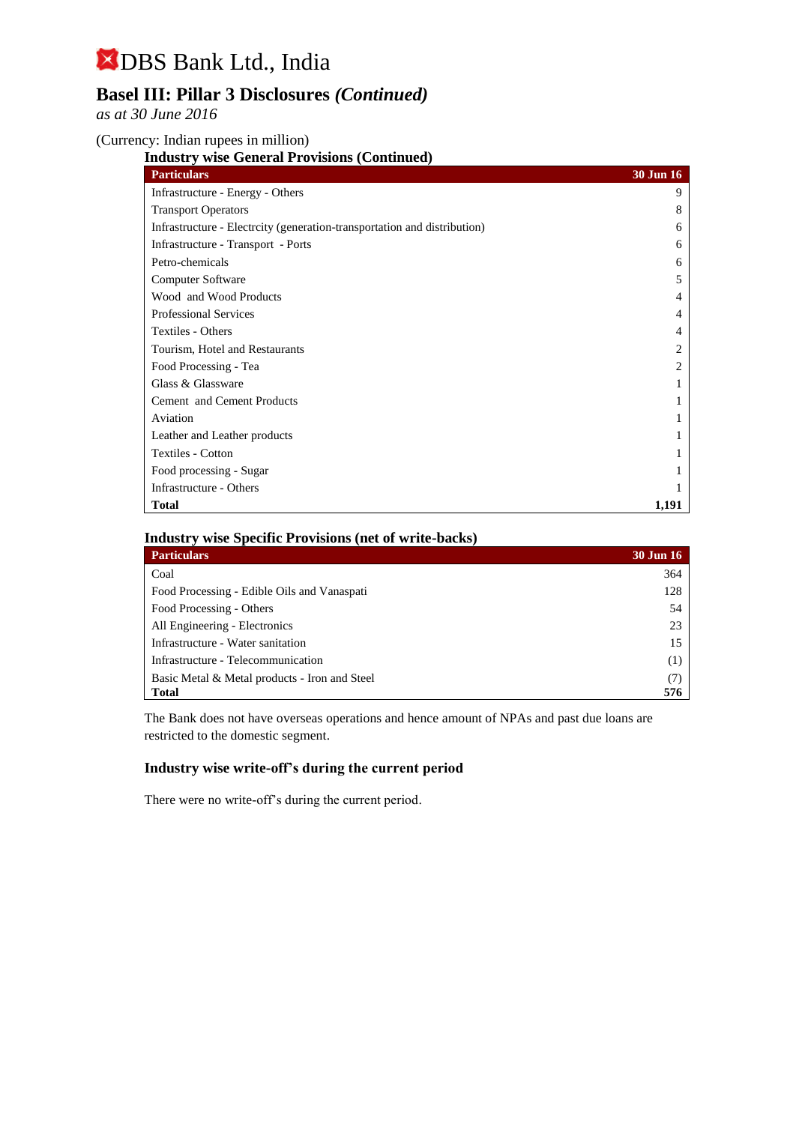### **Basel III: Pillar 3 Disclosures** *(Continued)*

*as at 30 June 2016*

(Currency: Indian rupees in million)

**Industry wise General Provisions (Continued)**

| <b>Particulars</b>                                                      | <b>30 Jun 16</b> |
|-------------------------------------------------------------------------|------------------|
| Infrastructure - Energy - Others                                        | 9                |
| <b>Transport Operators</b>                                              | 8                |
| Infrastructure - Electrity (generation-transportation and distribution) | 6                |
| Infrastructure - Transport - Ports                                      | 6                |
| Petro-chemicals                                                         | 6                |
| Computer Software                                                       | 5                |
| Wood and Wood Products                                                  | 4                |
| <b>Professional Services</b>                                            | 4                |
| Textiles - Others                                                       | 4                |
| Tourism, Hotel and Restaurants                                          |                  |
| Food Processing - Tea                                                   |                  |
| Glass & Glassware                                                       |                  |
| Cement and Cement Products                                              |                  |
| Aviation                                                                |                  |
| Leather and Leather products                                            |                  |
| <b>Textiles - Cotton</b>                                                |                  |
| Food processing - Sugar                                                 |                  |
| Infrastructure - Others                                                 |                  |
| <b>Total</b>                                                            | 1,191            |

### **Industry wise Specific Provisions (net of write-backs)**

| <b>Particulars</b>                            | <b>30 Jun 16</b> |
|-----------------------------------------------|------------------|
| Coal                                          | 364              |
| Food Processing - Edible Oils and Vanaspati   | 128              |
| Food Processing - Others                      | 54               |
| All Engineering - Electronics                 | 23               |
| Infrastructure - Water sanitation             | 15               |
| Infrastructure - Telecommunication            | (1)              |
| Basic Metal & Metal products - Iron and Steel | (7)              |
| <b>Total</b>                                  | 576              |

The Bank does not have overseas operations and hence amount of NPAs and past due loans are restricted to the domestic segment.

#### **Industry wise write-off's during the current period**

There were no write-off's during the current period.